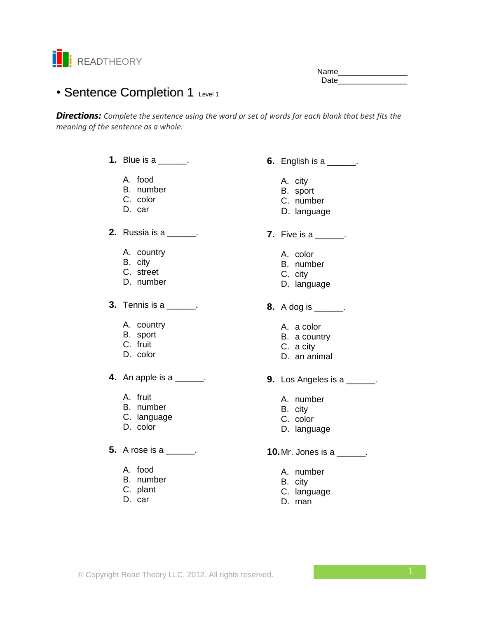

Name\_\_\_\_\_\_\_\_\_\_\_\_\_\_\_\_ Date **Date** 

# • Sentence Completion 1 Level 1

*Directions: Complete the sentence using the word or set of words for each blank that best fits the meaning of the sentence as a whole.*

- **1.** Blue is a \_\_\_\_\_.
	- A. food
	- B. number
	- C. color
	- D. car
- **2.** Russia is a  $\qquad$ .
	- A. country
	- B. city
	- C. street
	- D. number
- **3.** Tennis is a \_\_\_\_\_\_.
	- A. country
	- B. sport
	- C. fruit
	- D. color
- **4.** An apple is a \_\_\_\_\_\_.
	- A. fruit
	- B. number
	- C. language
	- D. color
- **5.** A rose is a \_\_\_\_\_\_.
	- A. food
	- B. number
	- C. plant
	- D. car
- **6.** English is a \_\_\_\_\_\_.
	- A. city
	- B. sport
	- C. number
	- D. language
- **7.** Five is a \_\_\_\_\_\_.
	- A. color
	- B. number
	- C. city
	- D. language
- **8.** A dog is \_\_\_\_\_\_.
	- A. a color
	- B. a country
	- C. a city
	- D. an animal
- **9.** Los Angeles is a \_\_\_\_\_\_.
	- A. number
	- B. city
	- C. color
	- D. language
- **10.** Mr. Jones is a \_\_\_\_\_\_.
	- A. number
	- B. city
	- C. language
	- D. man